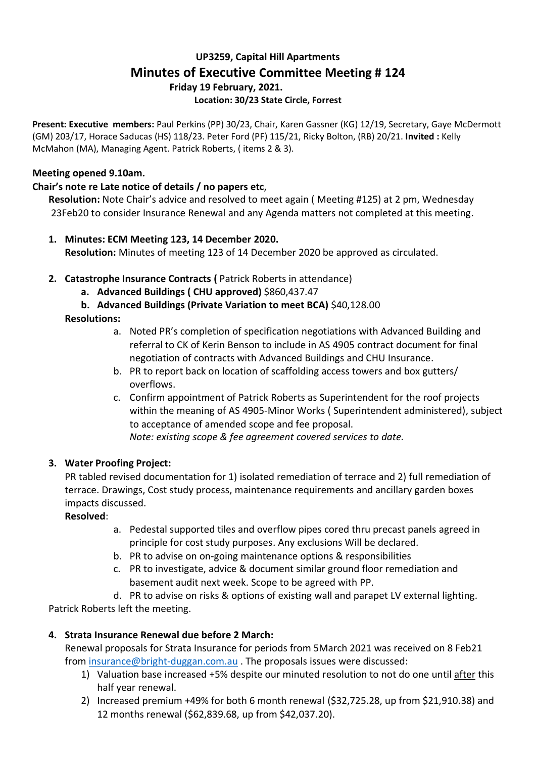# **UP3259, Capital Hill Apartments Minutes of Executive Committee Meeting # 124 Friday 19 February, 2021. Location: 30/23 State Circle, Forrest**

**Present: Executive members:** Paul Perkins (PP) 30/23, Chair, Karen Gassner (KG) 12/19, Secretary, Gaye McDermott (GM) 203/17, Horace Saducas (HS) 118/23. Peter Ford (PF) 115/21, Ricky Bolton, (RB) 20/21. **Invited :** Kelly McMahon (MA), Managing Agent. Patrick Roberts, ( items 2 & 3).

## **Meeting opened 9.10am.**

## **Chair's note re Late notice of details / no papers etc**,

**Resolution:** Note Chair's advice and resolved to meet again ( Meeting #125) at 2 pm, Wednesday 23Feb20 to consider Insurance Renewal and any Agenda matters not completed at this meeting.

- **1. Minutes: ECM Meeting 123, 14 December 2020. Resolution:** Minutes of meeting 123 of 14 December 2020 be approved as circulated.
- **2. Catastrophe Insurance Contracts (** Patrick Roberts in attendance)
	- **a. Advanced Buildings ( CHU approved)** \$860,437.47
	- **b. Advanced Buildings (Private Variation to meet BCA)** \$40,128.00

## **Resolutions:**

- a. Noted PR's completion of specification negotiations with Advanced Building and referral to CK of Kerin Benson to include in AS 4905 contract document for final negotiation of contracts with Advanced Buildings and CHU Insurance.
- b. PR to report back on location of scaffolding access towers and box gutters/ overflows.
- c. Confirm appointment of Patrick Roberts as Superintendent for the roof projects within the meaning of AS 4905-Minor Works ( Superintendent administered), subject to acceptance of amended scope and fee proposal. *Note: existing scope & fee agreement covered services to date.*

### **3. Water Proofing Project:**

PR tabled revised documentation for 1) isolated remediation of terrace and 2) full remediation of terrace. Drawings, Cost study process, maintenance requirements and ancillary garden boxes impacts discussed.

**Resolved**:

- a. Pedestal supported tiles and overflow pipes cored thru precast panels agreed in principle for cost study purposes. Any exclusions Will be declared.
- b. PR to advise on on-going maintenance options & responsibilities
- c. PR to investigate, advice & document similar ground floor remediation and basement audit next week. Scope to be agreed with PP.

d. PR to advise on risks & options of existing wall and parapet LV external lighting. Patrick Roberts left the meeting.

# **4. Strata Insurance Renewal due before 2 March:**

Renewal proposals for Strata Insurance for periods from 5March 2021 was received on 8 Feb21 from [insurance@bright-duggan.com.au](mailto:insurance@bright-duggan.com.au) . The proposals issues were discussed:

- 1) Valuation base increased +5% despite our minuted resolution to not do one until after this half year renewal.
- 2) Increased premium +49% for both 6 month renewal (\$32,725.28, up from \$21,910.38) and 12 months renewal (\$62,839.68, up from \$42,037.20).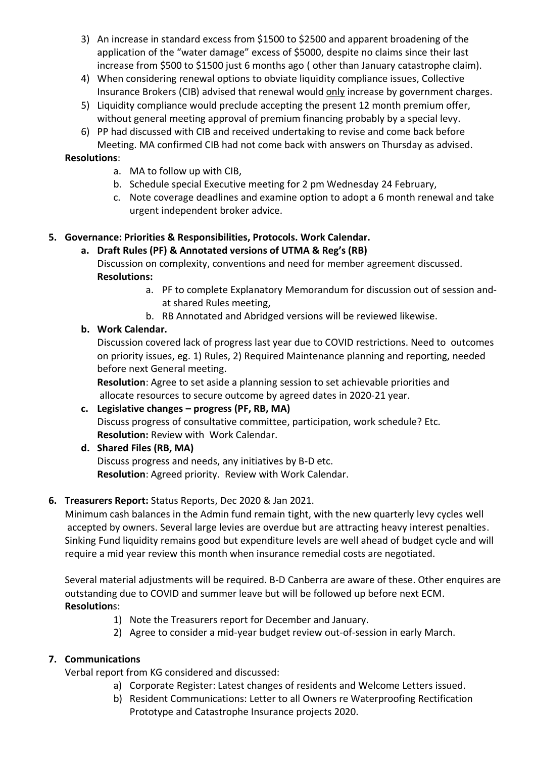- 3) An increase in standard excess from \$1500 to \$2500 and apparent broadening of the application of the "water damage" excess of \$5000, despite no claims since their last increase from \$500 to \$1500 just 6 months ago ( other than January catastrophe claim).
- 4) When considering renewal options to obviate liquidity compliance issues, Collective Insurance Brokers (CIB) advised that renewal would only increase by government charges.
- 5) Liquidity compliance would preclude accepting the present 12 month premium offer, without general meeting approval of premium financing probably by a special levy.
- 6) PP had discussed with CIB and received undertaking to revise and come back before Meeting. MA confirmed CIB had not come back with answers on Thursday as advised.

#### **Resolutions**:

- a. MA to follow up with CIB,
- b. Schedule special Executive meeting for 2 pm Wednesday 24 February,
- c. Note coverage deadlines and examine option to adopt a 6 month renewal and take urgent independent broker advice.

## **5. Governance: Priorities & Responsibilities, Protocols. Work Calendar.**

#### **a. Draft Rules (PF) & Annotated versions of UTMA & Reg's (RB)**

Discussion on complexity, conventions and need for member agreement discussed. **Resolutions:** 

- a. PF to complete Explanatory Memorandum for discussion out of session andat shared Rules meeting,
- b. RB Annotated and Abridged versions will be reviewed likewise.

### **b. Work Calendar.**

Discussion covered lack of progress last year due to COVID restrictions. Need to outcomes on priority issues, eg. 1) Rules, 2) Required Maintenance planning and reporting, needed before next General meeting.

**Resolution**: Agree to set aside a planning session to set achievable priorities and allocate resources to secure outcome by agreed dates in 2020-21 year.

# **c. Legislative changes – progress (PF, RB, MA)** Discuss progress of consultative committee, participation, work schedule? Etc. **Resolution:** Review with Work Calendar.

**d. Shared Files (RB, MA)**

Discuss progress and needs, any initiatives by B-D etc. **Resolution**: Agreed priority. Review with Work Calendar.

### **6. Treasurers Report:** Status Reports, Dec 2020 & Jan 2021.

Minimum cash balances in the Admin fund remain tight, with the new quarterly levy cycles well accepted by owners. Several large levies are overdue but are attracting heavy interest penalties. Sinking Fund liquidity remains good but expenditure levels are well ahead of budget cycle and will require a mid year review this month when insurance remedial costs are negotiated.

Several material adjustments will be required. B-D Canberra are aware of these. Other enquires are outstanding due to COVID and summer leave but will be followed up before next ECM. **Resolution**s:

- 1) Note the Treasurers report for December and January.
- 2) Agree to consider a mid-year budget review out-of-session in early March.

### **7. Communications**

Verbal report from KG considered and discussed:

- a) Corporate Register: Latest changes of residents and Welcome Letters issued.
- b) Resident Communications: Letter to all Owners re Waterproofing Rectification Prototype and Catastrophe Insurance projects 2020.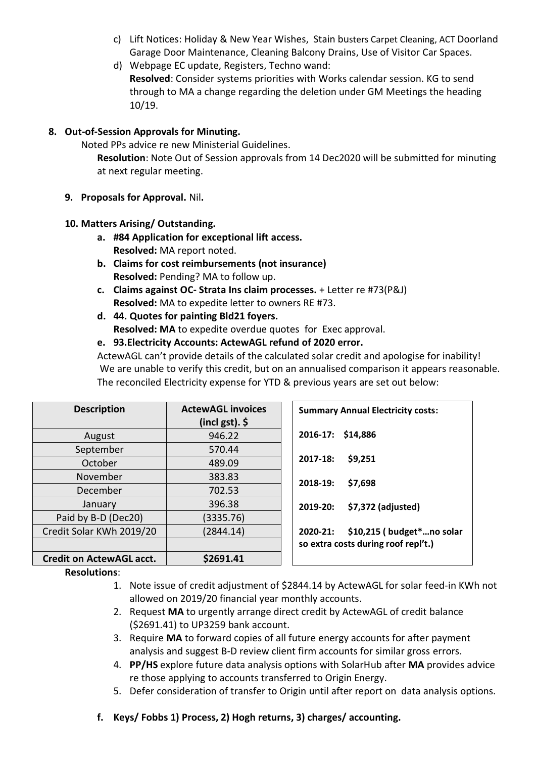- c) Lift Notices: Holiday & New Year Wishes, Stain busters Carpet Cleaning, ACT Doorland Garage Door Maintenance, Cleaning Balcony Drains, Use of Visitor Car Spaces.
- d) Webpage EC update, Registers, Techno wand: **Resolved**: Consider systems priorities with Works calendar session. KG to send through to MA a change regarding the deletion under GM Meetings the heading 10/19.

## **8. Out-of-Session Approvals for Minuting.**

Noted PPs advice re new Ministerial Guidelines.

**Resolution**: Note Out of Session approvals from 14 Dec2020 will be submitted for minuting at next regular meeting.

**9. Proposals for Approval.** Nil**.**

## **10. Matters Arising/ Outstanding.**

- **a. #84 Application for exceptional lift access. Resolved:** MA report noted.
- **b. Claims for cost reimbursements (not insurance) Resolved:** Pending? MA to follow up.
- **c. Claims against OC- Strata Ins claim processes.** + Letter re #73(P&J) **Resolved:** MA to expedite letter to owners RE #73.
- **d. 44. Quotes for painting Bld21 foyers. Resolved: MA** to expedite overdue quotes for Exec approval.

## **e. 93.Electricity Accounts: ActewAGL refund of 2020 error.**

ActewAGL can't provide details of the calculated solar credit and apologise for inability! We are unable to verify this credit, but on an annualised comparison it appears reasonable. The reconciled Electricity expense for YTD & previous years are set out below:

| <b>Description</b>              | <b>ActewAGL invoices</b><br>(incl gst). $\oint$ | <b>Summary Annual Electricity costs:</b> |
|---------------------------------|-------------------------------------------------|------------------------------------------|
| August                          | 946.22                                          | 2016-17: \$14,886                        |
| September                       | 570.44                                          |                                          |
| October                         | 489.09                                          | 2017-18:<br>\$9,251                      |
| November                        | 383.83                                          | 2018-19:<br>\$7,698                      |
| December                        | 702.53                                          |                                          |
| January                         | 396.38                                          | \$7,372 (adjusted)<br>2019-20:           |
| Paid by B-D (Dec20)             | (3335.76)                                       |                                          |
| Credit Solar KWh 2019/20        | (2844.14)                                       | \$10,215 (budget*no solar<br>2020-21:    |
|                                 |                                                 | so extra costs during roof repl't.)      |
| <b>Credit on ActewAGL acct.</b> | \$2691.41                                       |                                          |

### **Resolutions**:

- 1. Note issue of credit adjustment of \$2844.14 by ActewAGL for solar feed-in KWh not allowed on 2019/20 financial year monthly accounts.
- 2. Request **MA** to urgently arrange direct credit by ActewAGL of credit balance (\$2691.41) to UP3259 bank account.
- 3. Require **MA** to forward copies of all future energy accounts for after payment analysis and suggest B-D review client firm accounts for similar gross errors.
- 4. **PP/HS** explore future data analysis options with SolarHub after **MA** provides advice re those applying to accounts transferred to Origin Energy.
- 5. Defer consideration of transfer to Origin until after report on data analysis options.
- **f. Keys/ Fobbs 1) Process, 2) Hogh returns, 3) charges/ accounting.**